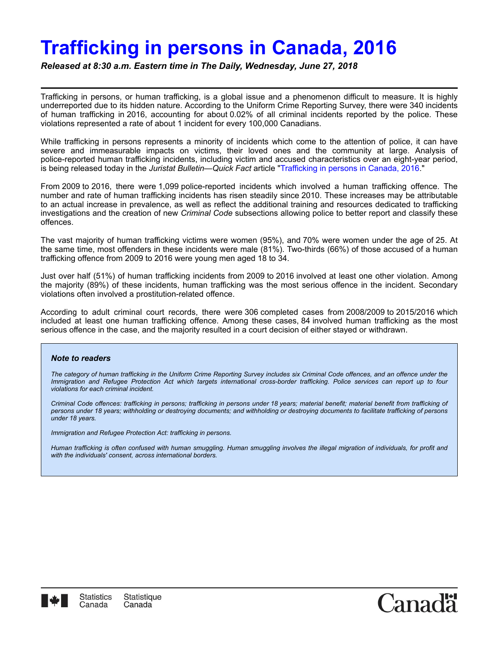## **Trafficking in persons in Canada, 2016**

*Released at 8:30 a.m. Eastern time in The Daily, Wednesday, June 27, 2018*

Trafficking in persons, or human trafficking, is a global issue and a phenomenon difficult to measure. It is highly underreported due to its hidden nature. According to the Uniform Crime Reporting Survey, there were 340 incidents of human trafficking in 2016, accounting for about 0.02% of all criminal incidents reported by the police. These violations represented a rate of about 1 incident for every 100,000 Canadians.

While trafficking in persons represents a minority of incidents which come to the attention of police, it can have severe and immeasurable impacts on victims, their loved ones and the community at large. Analysis of police-reported human trafficking incidents, including victim and accused characteristics over an eight-year period, is being released today in the *Juristat Bulletin—Quick Fact* article ["Trafficking in persons in Canada, 2016.](https://www150.statcan.gc.ca/en/catalogue/85-005-X201800154979)"

From 2009 to 2016, there were 1,099 police-reported incidents which involved a human trafficking offence. The number and rate of human trafficking incidents has risen steadily since 2010. These increases may be attributable to an actual increase in prevalence, as well as reflect the additional training and resources dedicated to trafficking investigations and the creation of new *Criminal Code* subsections allowing police to better report and classify these offences.

The vast majority of human trafficking victims were women (95%), and 70% were women under the age of 25. At the same time, most offenders in these incidents were male (81%). Two-thirds (66%) of those accused of a human trafficking offence from 2009 to 2016 were young men aged 18 to 34.

Just over half (51%) of human trafficking incidents from 2009 to 2016 involved at least one other violation. Among the majority (89%) of these incidents, human trafficking was the most serious offence in the incident. Secondary violations often involved a prostitution-related offence.

According to adult criminal court records, there were 306 completed cases from 2008/2009 to 2015/2016 which included at least one human trafficking offence. Among these cases, 84 involved human trafficking as the most serious offence in the case, and the majority resulted in a court decision of either stayed or withdrawn.

## *Note to readers*

*The category of human trafficking in the Uniform Crime Reporting Survey includes six Criminal Code offences, and an offence under the Immigration and Refugee Protection Act which targets international cross-border trafficking. Police services can report up to four violations for each criminal incident.*

*Criminal Code offences: trafficking in persons; trafficking in persons under 18 years; material benefit; material benefit from trafficking of persons under 18 years; withholding or destroying documents; and withholding or destroying documents to facilitate trafficking of persons under 18 years.*

*Immigration and Refugee Protection Act: trafficking in persons.*

*Human trafficking is often confused with human smuggling. Human smuggling involves the illegal migration of individuals, for profit and with the individuals' consent, across international borders.*

Canad